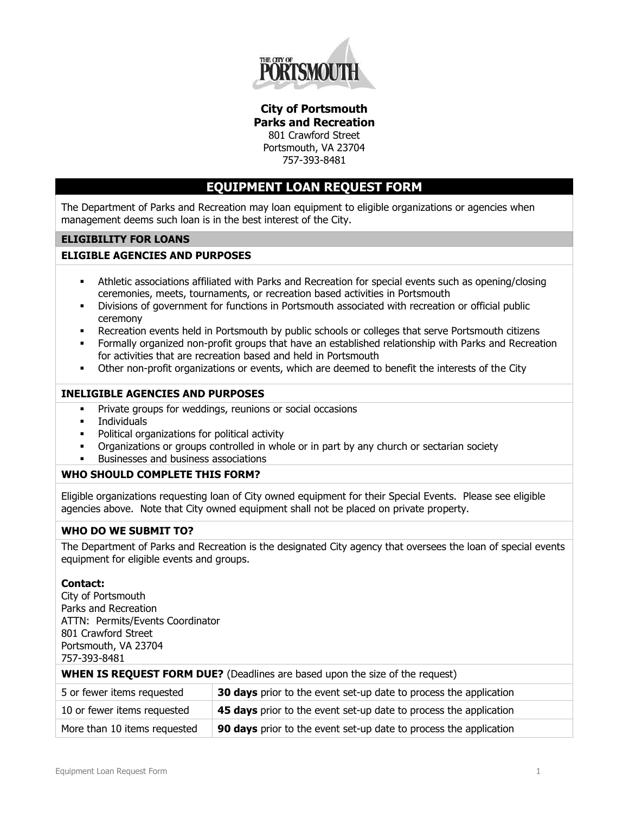

**City of Portsmouth Parks and Recreation** 801 Crawford Street

Portsmouth, VA 23704 757-393-8481

## **EQUIPMENT LOAN REQUEST FORM**

The Department of Parks and Recreation may loan equipment to eligible organizations or agencies when management deems such loan is in the best interest of the City.

### **ELIGIBILITY FOR LOANS**

#### **ELIGIBLE AGENCIES AND PURPOSES**

- Athletic associations affiliated with Parks and Recreation for special events such as opening/closing ceremonies, meets, tournaments, or recreation based activities in Portsmouth
- Divisions of government for functions in Portsmouth associated with recreation or official public ceremony
- Recreation events held in Portsmouth by public schools or colleges that serve Portsmouth citizens
- Formally organized non-profit groups that have an established relationship with Parks and Recreation for activities that are recreation based and held in Portsmouth
- Other non-profit organizations or events, which are deemed to benefit the interests of the City

#### **INELIGIBLE AGENCIES AND PURPOSES**

- **Private groups for weddings, reunions or social occasions**
- **Individuals**
- **•** Political organizations for political activity
- Organizations or groups controlled in whole or in part by any church or sectarian society
- Businesses and business associations

#### **WHO SHOULD COMPLETE THIS FORM?**

Eligible organizations requesting loan of City owned equipment for their Special Events. Please see eligible agencies above. Note that City owned equipment shall not be placed on private property.

#### **WHO DO WE SUBMIT TO?**

The Department of Parks and Recreation is the designated City agency that oversees the loan of special events equipment for eligible events and groups.

#### **Contact:**

City of Portsmouth Parks and Recreation ATTN: Permits/Events Coordinator 801 Crawford Street Portsmouth, VA 23704 757-393-8481

**WHEN IS REQUEST FORM DUE?** (Deadlines are based upon the size of the request)

| 5 or fewer items requested   | 30 days prior to the event set-up date to process the application |
|------------------------------|-------------------------------------------------------------------|
| 10 or fewer items requested  | 45 days prior to the event set-up date to process the application |
| More than 10 items requested | 90 days prior to the event set-up date to process the application |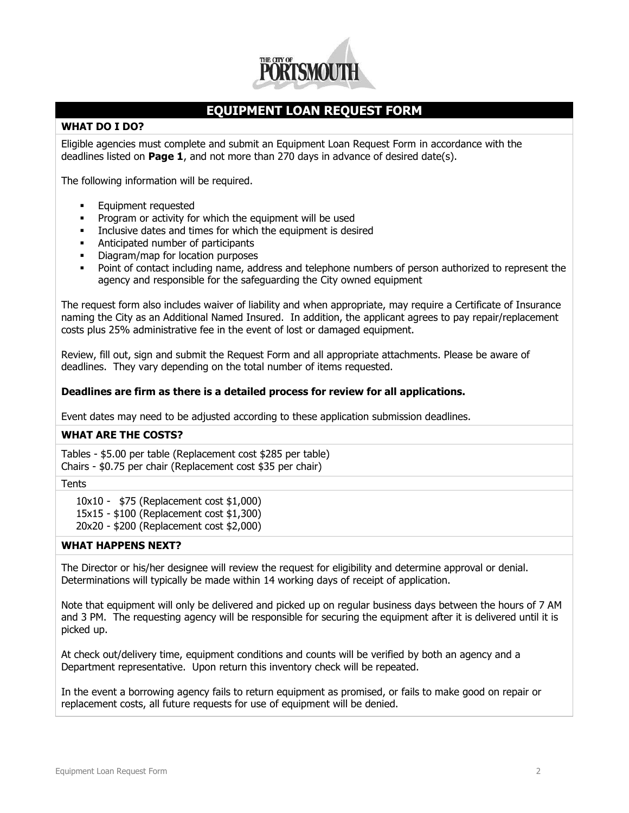

## **EQUIPMENT LOAN REQUEST FORM**

#### **WHAT DO I DO?**

Eligible agencies must complete and submit an Equipment Loan Request Form in accordance with the deadlines listed on **Page 1**, and not more than 270 days in advance of desired date(s).

The following information will be required.

- **Equipment requested**
- **Program or activity for which the equipment will be used**
- Inclusive dates and times for which the equipment is desired
- **Anticipated number of participants**
- **•** Diagram/map for location purposes
- Point of contact including name, address and telephone numbers of person authorized to represent the agency and responsible for the safeguarding the City owned equipment

The request form also includes waiver of liability and when appropriate, may require a Certificate of Insurance naming the City as an Additional Named Insured. In addition, the applicant agrees to pay repair/replacement costs plus 25% administrative fee in the event of lost or damaged equipment.

Review, fill out, sign and submit the Request Form and all appropriate attachments. Please be aware of deadlines. They vary depending on the total number of items requested.

#### **Deadlines are firm as there is a detailed process for review for all applications.**

Event dates may need to be adjusted according to these application submission deadlines.

#### **WHAT ARE THE COSTS?**

Tables - \$5.00 per table (Replacement cost \$285 per table) Chairs - \$0.75 per chair (Replacement cost \$35 per chair)

#### **Tents**

10x10 - \$75 (Replacement cost \$1,000)

15x15 - \$100 (Replacement cost \$1,300)

20x20 - \$200 (Replacement cost \$2,000)

#### **WHAT HAPPENS NEXT?**

The Director or his/her designee will review the request for eligibility and determine approval or denial. Determinations will typically be made within 14 working days of receipt of application.

Note that equipment will only be delivered and picked up on regular business days between the hours of 7 AM and 3 PM. The requesting agency will be responsible for securing the equipment after it is delivered until it is picked up.

At check out/delivery time, equipment conditions and counts will be verified by both an agency and a Department representative. Upon return this inventory check will be repeated.

In the event a borrowing agency fails to return equipment as promised, or fails to make good on repair or replacement costs, all future requests for use of equipment will be denied.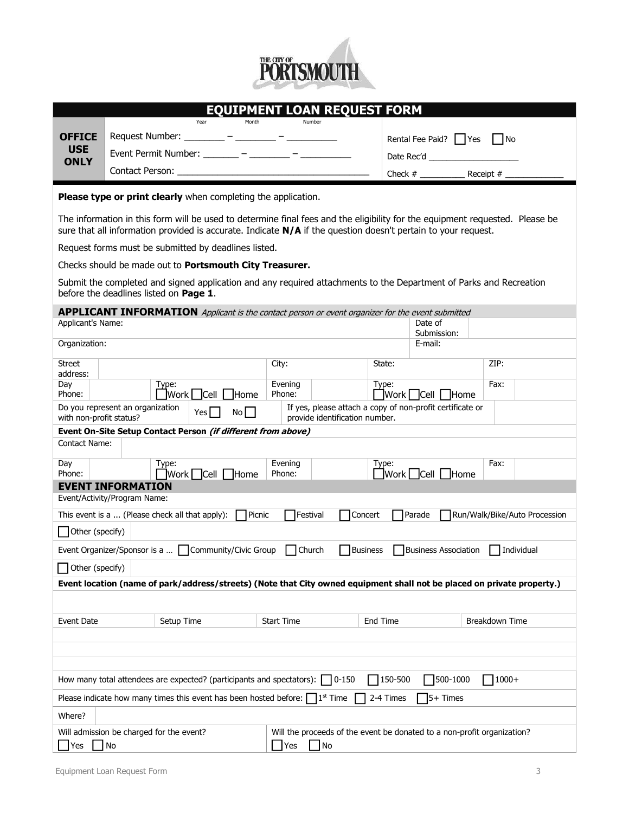

|                                                                                                                                                                                                                                               |                                                              |                         | Year | Month          |                   | EQUIPMENT LOAN REQUEST FORM<br>Number                                                                   |                 |                                           |                                     |                |  |
|-----------------------------------------------------------------------------------------------------------------------------------------------------------------------------------------------------------------------------------------------|--------------------------------------------------------------|-------------------------|------|----------------|-------------------|---------------------------------------------------------------------------------------------------------|-----------------|-------------------------------------------|-------------------------------------|----------------|--|
| <b>OFFICE</b>                                                                                                                                                                                                                                 | Request Number: _________ - ________ - _________             |                         |      |                |                   |                                                                                                         |                 | Rental Fee Paid? Yes<br>l IN <sub>o</sub> |                                     |                |  |
| <b>USE</b>                                                                                                                                                                                                                                    | Event Permit Number: _______ - _______ - _______ -           |                         |      |                |                   |                                                                                                         |                 |                                           |                                     |                |  |
| <b>ONLY</b>                                                                                                                                                                                                                                   |                                                              |                         |      |                |                   |                                                                                                         |                 |                                           |                                     |                |  |
|                                                                                                                                                                                                                                               |                                                              |                         |      |                |                   |                                                                                                         |                 | Check $#$                                 |                                     | Receipt $#_$   |  |
| Please type or print clearly when completing the application.                                                                                                                                                                                 |                                                              |                         |      |                |                   |                                                                                                         |                 |                                           |                                     |                |  |
| The information in this form will be used to determine final fees and the eligibility for the equipment requested. Please be<br>sure that all information provided is accurate. Indicate N/A if the question doesn't pertain to your request. |                                                              |                         |      |                |                   |                                                                                                         |                 |                                           |                                     |                |  |
|                                                                                                                                                                                                                                               | Request forms must be submitted by deadlines listed.         |                         |      |                |                   |                                                                                                         |                 |                                           |                                     |                |  |
|                                                                                                                                                                                                                                               |                                                              |                         |      |                |                   |                                                                                                         |                 |                                           |                                     |                |  |
| Checks should be made out to Portsmouth City Treasurer.<br>Submit the completed and signed application and any required attachments to the Department of Parks and Recreation<br>before the deadlines listed on Page 1.                       |                                                              |                         |      |                |                   |                                                                                                         |                 |                                           |                                     |                |  |
|                                                                                                                                                                                                                                               |                                                              |                         |      |                |                   | <b>APPLICANT INFORMATION</b> Applicant is the contact person or event organizer for the event submitted |                 |                                           |                                     |                |  |
| Applicant's Name:                                                                                                                                                                                                                             |                                                              |                         |      |                |                   |                                                                                                         |                 | Date of<br>Submission:                    |                                     |                |  |
| Organization:                                                                                                                                                                                                                                 |                                                              |                         |      |                |                   |                                                                                                         |                 | E-mail:                                   |                                     |                |  |
| <b>Street</b>                                                                                                                                                                                                                                 | City:<br>State:                                              |                         |      |                |                   |                                                                                                         | ZIP:            |                                           |                                     |                |  |
| address:<br>Day                                                                                                                                                                                                                               | Type:                                                        |                         |      | Evening        |                   | Type:                                                                                                   |                 |                                           | Fax:                                |                |  |
| Phone:                                                                                                                                                                                                                                        |                                                              | $\Box$ Work $\Box$ Cell |      | <b>Home</b>    | Phone:            |                                                                                                         | ■Work Cell Home |                                           |                                     |                |  |
| with non-profit status?                                                                                                                                                                                                                       | Do you represent an organization                             |                         | Yes  | No             |                   | If yes, please attach a copy of non-profit certificate or<br>provide identification number.             |                 |                                           |                                     |                |  |
|                                                                                                                                                                                                                                               | Event On-Site Setup Contact Person (if different from above) |                         |      |                |                   |                                                                                                         |                 |                                           |                                     |                |  |
| Contact Name:                                                                                                                                                                                                                                 |                                                              |                         |      |                |                   |                                                                                                         |                 |                                           |                                     |                |  |
| Day<br>Phone:                                                                                                                                                                                                                                 |                                                              | Type:                   |      | Nork Cell Home | Evening<br>Phone: |                                                                                                         | Type:           |                                           | $\Box$ Work $\Box$ Cell $\Box$ Home | Fax:           |  |
|                                                                                                                                                                                                                                               | <b>EVENT INFORMATION</b>                                     |                         |      |                |                   |                                                                                                         |                 |                                           |                                     |                |  |
|                                                                                                                                                                                                                                               | Event/Activity/Program Name:                                 |                         |      |                |                   |                                                                                                         |                 |                                           |                                     |                |  |
| Picnic<br>Festival<br>Concert<br>Parade<br>This event is a  (Please check all that apply):<br>Run/Walk/Bike/Auto Procession                                                                                                                   |                                                              |                         |      |                |                   |                                                                                                         |                 |                                           |                                     |                |  |
| Other (specify)                                                                                                                                                                                                                               |                                                              |                         |      |                |                   |                                                                                                         |                 |                                           |                                     |                |  |
| Event Organizer/Sponsor is a  □ Community/Civic Group □ Church<br>Business Business Association Individual                                                                                                                                    |                                                              |                         |      |                |                   |                                                                                                         |                 |                                           |                                     |                |  |
| Other (specify)                                                                                                                                                                                                                               |                                                              |                         |      |                |                   |                                                                                                         |                 |                                           |                                     |                |  |
| Event location (name of park/address/streets) (Note that City owned equipment shall not be placed on private property.)                                                                                                                       |                                                              |                         |      |                |                   |                                                                                                         |                 |                                           |                                     |                |  |
|                                                                                                                                                                                                                                               |                                                              |                         |      |                |                   |                                                                                                         |                 |                                           |                                     |                |  |
| Event Date                                                                                                                                                                                                                                    |                                                              | Setup Time              |      |                | <b>Start Time</b> |                                                                                                         | End Time        |                                           |                                     | Breakdown Time |  |
|                                                                                                                                                                                                                                               |                                                              |                         |      |                |                   |                                                                                                         |                 |                                           |                                     |                |  |
|                                                                                                                                                                                                                                               |                                                              |                         |      |                |                   |                                                                                                         |                 |                                           |                                     |                |  |
|                                                                                                                                                                                                                                               |                                                              |                         |      |                |                   |                                                                                                         |                 |                                           |                                     |                |  |
| 150-500<br>500-1000<br>$71000+$<br>How many total attendees are expected? (participants and spectators): $\Box$ 0-150                                                                                                                         |                                                              |                         |      |                |                   |                                                                                                         |                 |                                           |                                     |                |  |
| Please indicate how many times this event has been hosted before: $\Box$ 1 <sup>st</sup> Time<br>2-4 Times<br>$5+$ Times                                                                                                                      |                                                              |                         |      |                |                   |                                                                                                         |                 |                                           |                                     |                |  |
| Where?                                                                                                                                                                                                                                        |                                                              |                         |      |                |                   |                                                                                                         |                 |                                           |                                     |                |  |
| Will the proceeds of the event be donated to a non-profit organization?<br>Will admission be charged for the event?<br>$\overline{\phantom{a}}$ No<br>Yes<br>$ $ No<br>Yes                                                                    |                                                              |                         |      |                |                   |                                                                                                         |                 |                                           |                                     |                |  |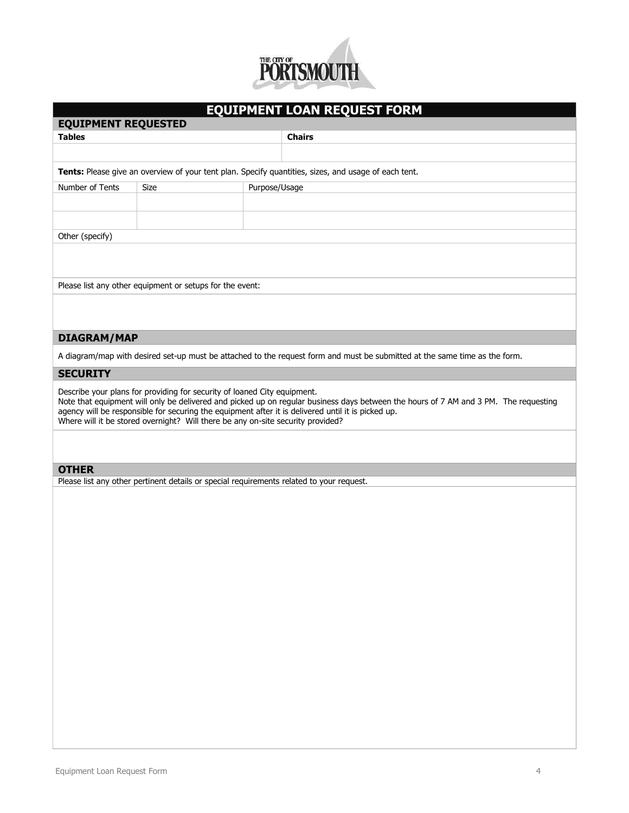

# **EQUIPMENT LOAN REQUEST FORM**

| <b>EQUIPMENT REQUESTED</b>                                                                                                                                                                                                                                                                                                                                                                                |      |               |               |  |  |  |  |
|-----------------------------------------------------------------------------------------------------------------------------------------------------------------------------------------------------------------------------------------------------------------------------------------------------------------------------------------------------------------------------------------------------------|------|---------------|---------------|--|--|--|--|
| <b>Tables</b>                                                                                                                                                                                                                                                                                                                                                                                             |      |               | <b>Chairs</b> |  |  |  |  |
|                                                                                                                                                                                                                                                                                                                                                                                                           |      |               |               |  |  |  |  |
| <b>Tents:</b> Please give an overview of your tent plan. Specify quantities, sizes, and usage of each tent.                                                                                                                                                                                                                                                                                               |      |               |               |  |  |  |  |
| Number of Tents                                                                                                                                                                                                                                                                                                                                                                                           | Size | Purpose/Usage |               |  |  |  |  |
|                                                                                                                                                                                                                                                                                                                                                                                                           |      |               |               |  |  |  |  |
|                                                                                                                                                                                                                                                                                                                                                                                                           |      |               |               |  |  |  |  |
| Other (specify)                                                                                                                                                                                                                                                                                                                                                                                           |      |               |               |  |  |  |  |
| Please list any other equipment or setups for the event:                                                                                                                                                                                                                                                                                                                                                  |      |               |               |  |  |  |  |
| <b>DIAGRAM/MAP</b>                                                                                                                                                                                                                                                                                                                                                                                        |      |               |               |  |  |  |  |
| A diagram/map with desired set-up must be attached to the request form and must be submitted at the same time as the form.                                                                                                                                                                                                                                                                                |      |               |               |  |  |  |  |
| <b>SECURITY</b>                                                                                                                                                                                                                                                                                                                                                                                           |      |               |               |  |  |  |  |
| Describe your plans for providing for security of loaned City equipment.<br>Note that equipment will only be delivered and picked up on regular business days between the hours of 7 AM and 3 PM. The requesting<br>agency will be responsible for securing the equipment after it is delivered until it is picked up.<br>Where will it be stored overnight? Will there be any on-site security provided? |      |               |               |  |  |  |  |

### **OTHER**

Please list any other pertinent details or special requirements related to your request.